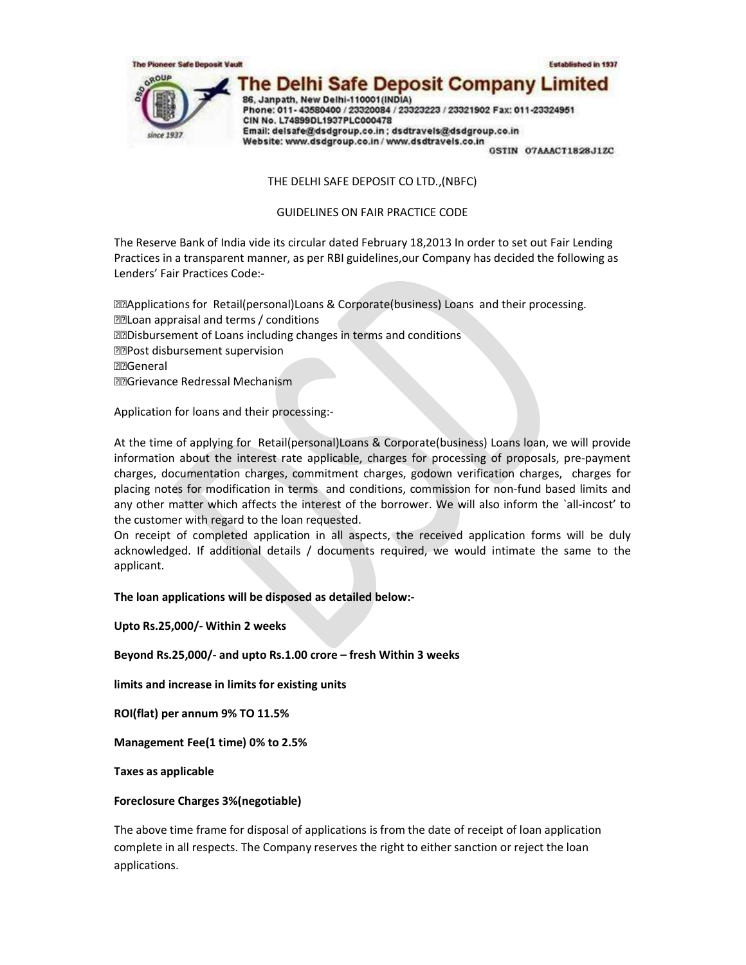

THE DELHI SAFE DEPOSIT CO LTD.,(NBFC)

GUIDELINES ON FAIR PRACTICE CODE

The Reserve Bank of India vide its circular dated February 18,2013 In order to set out Fair Lending Practices in a transparent manner, as per RBI guidelines,our Company has decided the following as Lenders' Fair Practices Code:-

Applications for Retail(personal)Loans & Corporate(business) Loans and their processing. Loan appraisal and terms / conditions Disbursement of Loans including changes in terms and conditions P**Post disbursement supervision** General Grievance Redressal Mechanism

Application for loans and their processing:-

At the time of applying for Retail(personal)Loans & Corporate(business) Loans loan, we will provide information about the interest rate applicable, charges for processing of proposals, pre-payment charges, documentation charges, commitment charges, godown verification charges, charges for placing notes for modification in terms and conditions, commission for non-fund based limits and any other matter which affects the interest of the borrower. We will also inform the `all-incost' to the customer with regard to the loan requested.

On receipt of completed application in all aspects, the received application forms will be duly acknowledged. If additional details / documents required, we would intimate the same to the applicant.

The loan applications will be disposed as detailed below:-

Upto Rs.25,000/- Within 2 weeks

Beyond Rs.25,000/- and upto Rs.1.00 crore – fresh Within 3 weeks

limits and increase in limits for existing units

ROI(flat) per annum 9% TO 11.5%

Management Fee(1 time) 0% to 2.5%

Taxes as applicable

### Foreclosure Charges 3%(negotiable)

The above time frame for disposal of applications is from the date of receipt of loan application complete in all respects. The Company reserves the right to either sanction or reject the loan applications.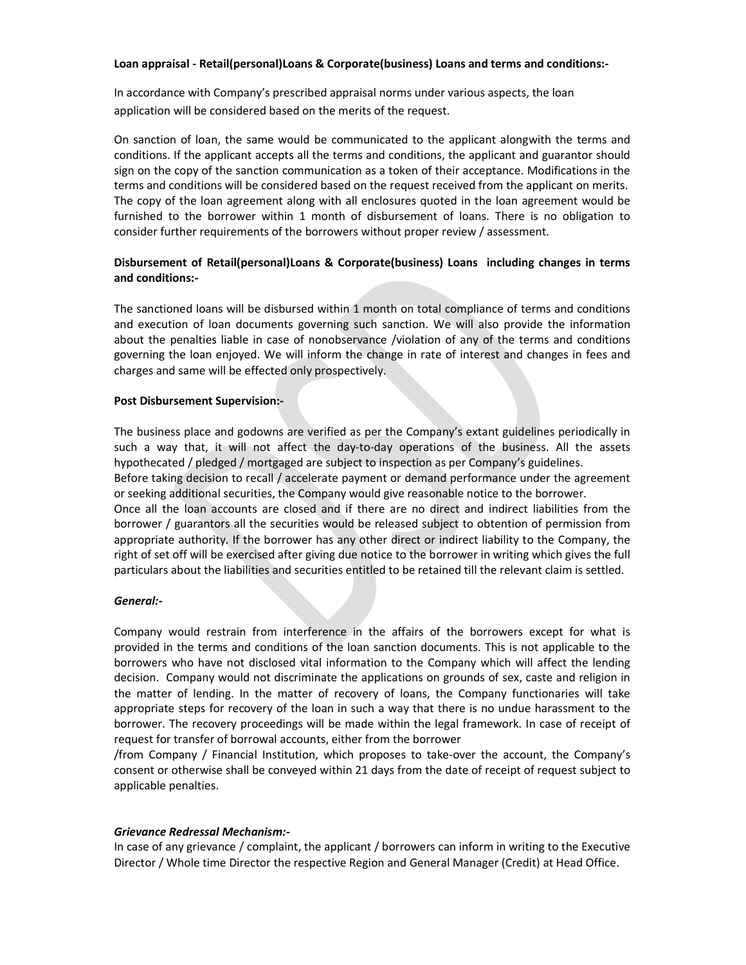#### Loan appraisal - Retail(personal)Loans & Corporate(business) Loans and terms and conditions:-

In accordance with Company's prescribed appraisal norms under various aspects, the loan application will be considered based on the merits of the request.

On sanction of loan, the same would be communicated to the applicant alongwith the terms and conditions. If the applicant accepts all the terms and conditions, the applicant and guarantor should sign on the copy of the sanction communication as a token of their acceptance. Modifications in the terms and conditions will be considered based on the request received from the applicant on merits. The copy of the loan agreement along with all enclosures quoted in the loan agreement would be furnished to the borrower within 1 month of disbursement of loans. There is no obligation to consider further requirements of the borrowers without proper review / assessment.

## Disbursement of Retail(personal)Loans & Corporate(business) Loans including changes in terms and conditions:-

The sanctioned loans will be disbursed within 1 month on total compliance of terms and conditions and execution of loan documents governing such sanction. We will also provide the information about the penalties liable in case of nonobservance /violation of any of the terms and conditions governing the loan enjoyed. We will inform the change in rate of interest and changes in fees and charges and same will be effected only prospectively.

#### Post Disbursement Supervision:-

The business place and godowns are verified as per the Company's extant guidelines periodically in such a way that, it will not affect the day-to-day operations of the business. All the assets hypothecated / pledged / mortgaged are subject to inspection as per Company's guidelines.

Before taking decision to recall / accelerate payment or demand performance under the agreement or seeking additional securities, the Company would give reasonable notice to the borrower.

Once all the loan accounts are closed and if there are no direct and indirect liabilities from the borrower / guarantors all the securities would be released subject to obtention of permission from appropriate authority. If the borrower has any other direct or indirect liability to the Company, the right of set off will be exercised after giving due notice to the borrower in writing which gives the full particulars about the liabilities and securities entitled to be retained till the relevant claim is settled.

#### General:-

Company would restrain from interference in the affairs of the borrowers except for what is provided in the terms and conditions of the loan sanction documents. This is not applicable to the borrowers who have not disclosed vital information to the Company which will affect the lending decision. Company would not discriminate the applications on grounds of sex, caste and religion in the matter of lending. In the matter of recovery of loans, the Company functionaries will take appropriate steps for recovery of the loan in such a way that there is no undue harassment to the borrower. The recovery proceedings will be made within the legal framework. In case of receipt of request for transfer of borrowal accounts, either from the borrower

/from Company / Financial Institution, which proposes to take-over the account, the Company's consent or otherwise shall be conveyed within 21 days from the date of receipt of request subject to applicable penalties.

#### Grievance Redressal Mechanism:-

In case of any grievance / complaint, the applicant / borrowers can inform in writing to the Executive Director / Whole time Director the respective Region and General Manager (Credit) at Head Office.